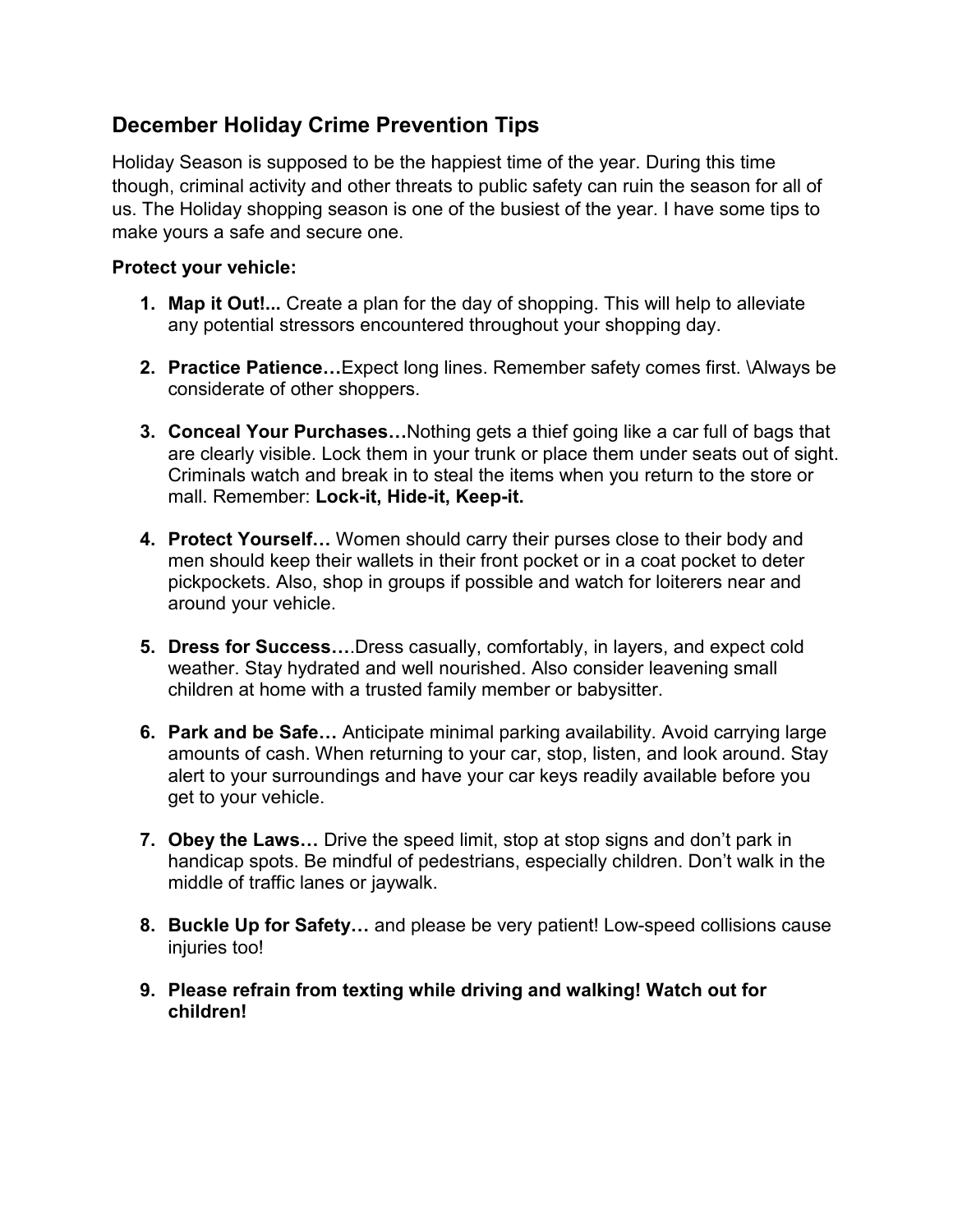# **December Holiday Crime Prevention Tips**

Holiday Season is supposed to be the happiest time of the year. During this time though, criminal activity and other threats to public safety can ruin the season for all of us. The Holiday shopping season is one of the busiest of the year. I have some tips to make yours a safe and secure one.

#### **Protect your vehicle:**

- **1. Map it Out!...** Create a plan for the day of shopping. This will help to alleviate any potential stressors encountered throughout your shopping day.
- **2. Practice Patience…**Expect long lines. Remember safety comes first. \Always be considerate of other shoppers.
- **3. Conceal Your Purchases…**Nothing gets a thief going like a car full of bags that are clearly visible. Lock them in your trunk or place them under seats out of sight. Criminals watch and break in to steal the items when you return to the store or mall. Remember: **Lock-it, Hide-it, Keep-it.**
- **4. Protect Yourself…** Women should carry their purses close to their body and men should keep their wallets in their front pocket or in a coat pocket to deter pickpockets. Also, shop in groups if possible and watch for loiterers near and around your vehicle.
- **5. Dress for Success…**.Dress casually, comfortably, in layers, and expect cold weather. Stay hydrated and well nourished. Also consider leavening small children at home with a trusted family member or babysitter.
- **6. Park and be Safe…** Anticipate minimal parking availability. Avoid carrying large amounts of cash. When returning to your car, stop, listen, and look around. Stay alert to your surroundings and have your car keys readily available before you get to your vehicle.
- **7. Obey the Laws…** Drive the speed limit, stop at stop signs and don't park in handicap spots. Be mindful of pedestrians, especially children. Don't walk in the middle of traffic lanes or jaywalk.
- **8. Buckle Up for Safety…** and please be very patient! Low-speed collisions cause injuries too!
- **9. Please refrain from texting while driving and walking! Watch out for children!**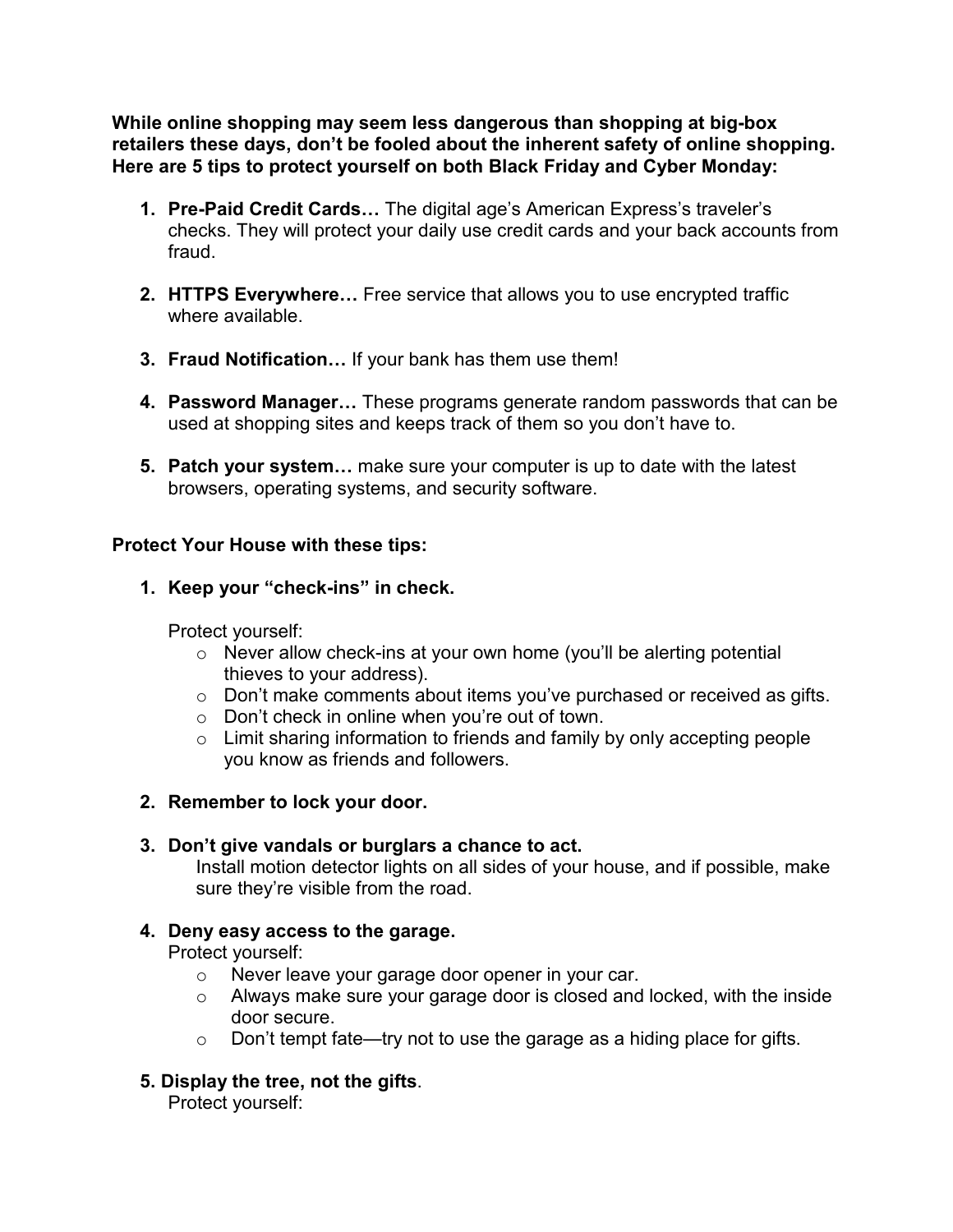**While online shopping may seem less dangerous than shopping at big-box retailers these days, don't be fooled about the inherent safety of online shopping. Here are 5 tips to protect yourself on both Black Friday and Cyber Monday:**

- **1. Pre-Paid Credit Cards…** The digital age's American Express's traveler's checks. They will protect your daily use credit cards and your back accounts from fraud.
- **2. HTTPS Everywhere…** Free service that allows you to use encrypted traffic where available.
- **3. Fraud Notification…** If your bank has them use them!
- **4. Password Manager…** These programs generate random passwords that can be used at shopping sites and keeps track of them so you don't have to.
- **5. Patch your system…** make sure your computer is up to date with the latest browsers, operating systems, and security software.

### **Protect Your House with these tips:**

**1. Keep your "check-ins" in check.**

Protect yourself:

- o Never allow check-ins at your own home (you'll be alerting potential thieves to your address).
- o Don't make comments about items you've purchased or received as gifts.
- o Don't check in online when you're out of town.
- o Limit sharing information to friends and family by only accepting people you know as friends and followers.
- **2. Remember to lock your door.**

## **3. Don't give vandals or burglars a chance to act.**

Install motion detector lights on all sides of your house, and if possible, make sure they're visible from the road.

#### **4. Deny easy access to the garage.**

Protect yourself:

- o Never leave your garage door opener in your car.
- o Always make sure your garage door is closed and locked, with the inside door secure.
- o Don't tempt fate—try not to use the garage as a hiding place for gifts.
- **5. Display the tree, not the gifts**.

Protect yourself: